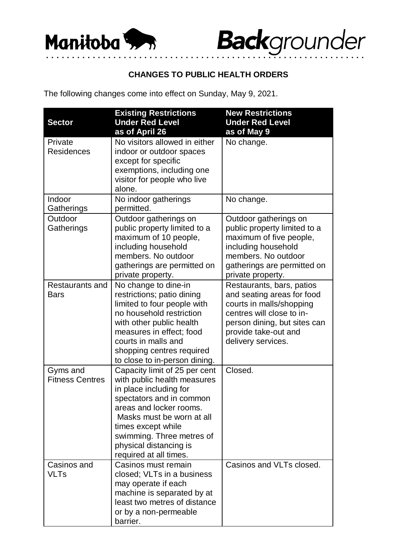

## **CHANGES TO PUBLIC HEALTH ORDERS**

• • • • • • • • • • • • • • • • • • • • • • • • • • • • • • • • • • • • • • • • • • • • • • • • • • • • • • • • • • • • • •

The following changes come into effect on Sunday, May 9, 2021.

| <b>Sector</b>                         | <b>Existing Restrictions</b><br><b>Under Red Level</b><br>as of April 26                                                                                                                                                                                                          | <b>New Restrictions</b><br><b>Under Red Level</b><br>as of May 9                                                                                                                               |
|---------------------------------------|-----------------------------------------------------------------------------------------------------------------------------------------------------------------------------------------------------------------------------------------------------------------------------------|------------------------------------------------------------------------------------------------------------------------------------------------------------------------------------------------|
| Private<br><b>Residences</b>          | No visitors allowed in either<br>indoor or outdoor spaces<br>except for specific<br>exemptions, including one<br>visitor for people who live<br>alone.                                                                                                                            | No change.                                                                                                                                                                                     |
| Indoor<br>Gatherings                  | No indoor gatherings<br>permitted.                                                                                                                                                                                                                                                | No change.                                                                                                                                                                                     |
| Outdoor<br>Gatherings                 | Outdoor gatherings on<br>public property limited to a<br>maximum of 10 people,<br>including household<br>members. No outdoor<br>gatherings are permitted on<br>private property.                                                                                                  | Outdoor gatherings on<br>public property limited to a<br>maximum of five people,<br>including household<br>members. No outdoor<br>gatherings are permitted on<br>private property.             |
| <b>Restaurants and</b><br><b>Bars</b> | No change to dine-in<br>restrictions; patio dining<br>limited to four people with<br>no household restriction<br>with other public health<br>measures in effect; food<br>courts in malls and<br>shopping centres required<br>to close to in-person dining.                        | Restaurants, bars, patios<br>and seating areas for food<br>courts in malls/shopping<br>centres will close to in-<br>person dining, but sites can<br>provide take-out and<br>delivery services. |
| Gyms and<br><b>Fitness Centres</b>    | Capacity limit of 25 per cent<br>with public health measures<br>in place including for<br>spectators and in common<br>areas and locker rooms.<br>Masks must be worn at all<br>times except while<br>swimming. Three metres of<br>physical distancing is<br>required at all times. | Closed.                                                                                                                                                                                        |
| Casinos and<br>VLTs                   | Casinos must remain<br>closed: VLTs in a business<br>may operate if each<br>machine is separated by at<br>least two metres of distance<br>or by a non-permeable<br>barrier.                                                                                                       | Casinos and VLTs closed.                                                                                                                                                                       |